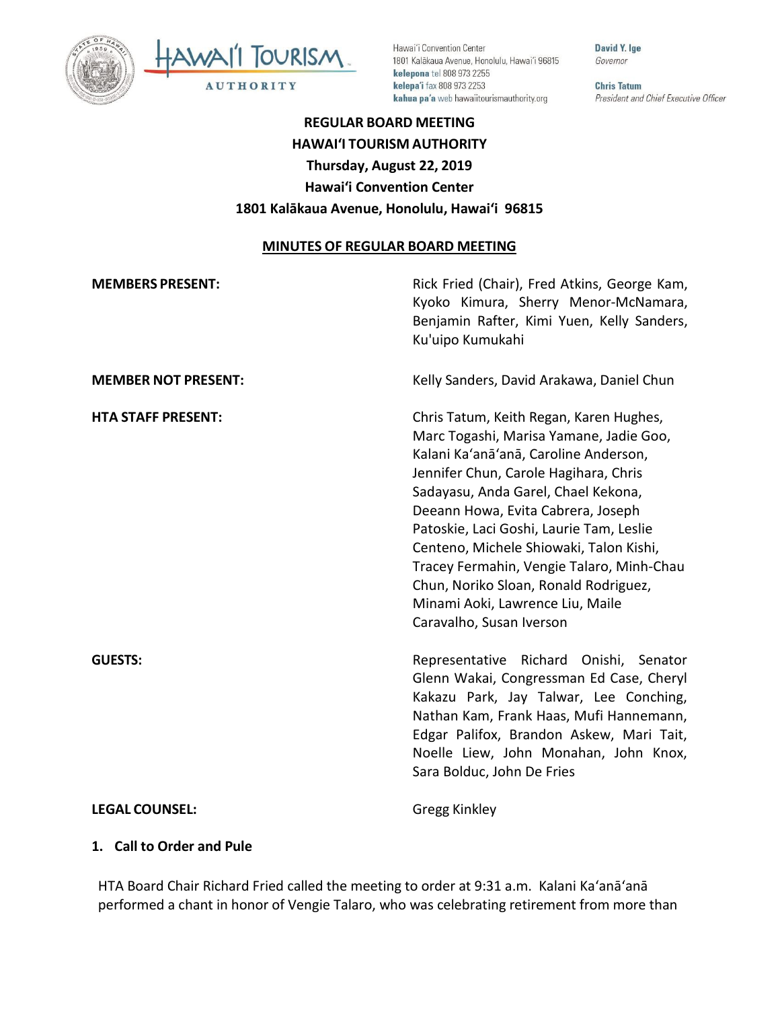



Hawai'i Convention Center 1801 Kalākaua Avenue, Honolulu, Hawai'i 96815 kelepona tel 808 973 2255 kelepa'i fax 808 973 2253 kahua pa'a web hawaiitourismauthority.org

David Y. Ige Governor

**Chris Tatum** President and Chief Executive Officer

# **REGULAR BOARD MEETING HAWAI'I TOURISM AUTHORITY Thursday, August 22, 2019 Hawai'i Convention Center 1801 Kalākaua Avenue, Honolulu, Hawai'i 96815**

#### **MINUTES OF REGULAR BOARD MEETING**

| <b>MEMBERS PRESENT:</b>    | Rick Fried (Chair), Fred Atkins, George Kam,<br>Kyoko Kimura, Sherry Menor-McNamara,<br>Benjamin Rafter, Kimi Yuen, Kelly Sanders,<br>Ku'uipo Kumukahi                                                                                                                                                                                                                                                                                                                                         |
|----------------------------|------------------------------------------------------------------------------------------------------------------------------------------------------------------------------------------------------------------------------------------------------------------------------------------------------------------------------------------------------------------------------------------------------------------------------------------------------------------------------------------------|
| <b>MEMBER NOT PRESENT:</b> | Kelly Sanders, David Arakawa, Daniel Chun                                                                                                                                                                                                                                                                                                                                                                                                                                                      |
| <b>HTA STAFF PRESENT:</b>  | Chris Tatum, Keith Regan, Karen Hughes,<br>Marc Togashi, Marisa Yamane, Jadie Goo,<br>Kalani Ka'anā'anā, Caroline Anderson,<br>Jennifer Chun, Carole Hagihara, Chris<br>Sadayasu, Anda Garel, Chael Kekona,<br>Deeann Howa, Evita Cabrera, Joseph<br>Patoskie, Laci Goshi, Laurie Tam, Leslie<br>Centeno, Michele Shiowaki, Talon Kishi,<br>Tracey Fermahin, Vengie Talaro, Minh-Chau<br>Chun, Noriko Sloan, Ronald Rodriguez,<br>Minami Aoki, Lawrence Liu, Maile<br>Caravalho, Susan Iverson |
| <b>GUESTS:</b>             | Representative Richard Onishi, Senator<br>Glenn Wakai, Congressman Ed Case, Cheryl<br>Kakazu Park, Jay Talwar, Lee Conching,<br>Nathan Kam, Frank Haas, Mufi Hannemann,<br>Edgar Palifox, Brandon Askew, Mari Tait,<br>Noelle Liew, John Monahan, John Knox,<br>Sara Bolduc, John De Fries                                                                                                                                                                                                     |
| <b>LEGAL COUNSEL:</b>      | Gregg Kinkley                                                                                                                                                                                                                                                                                                                                                                                                                                                                                  |

#### **1. Call to Order and Pule**

HTA Board Chair Richard Fried called the meeting to order at 9:31 a.m. Kalani Ka'anā'anā performed a chant in honor of Vengie Talaro, who was celebrating retirement from more than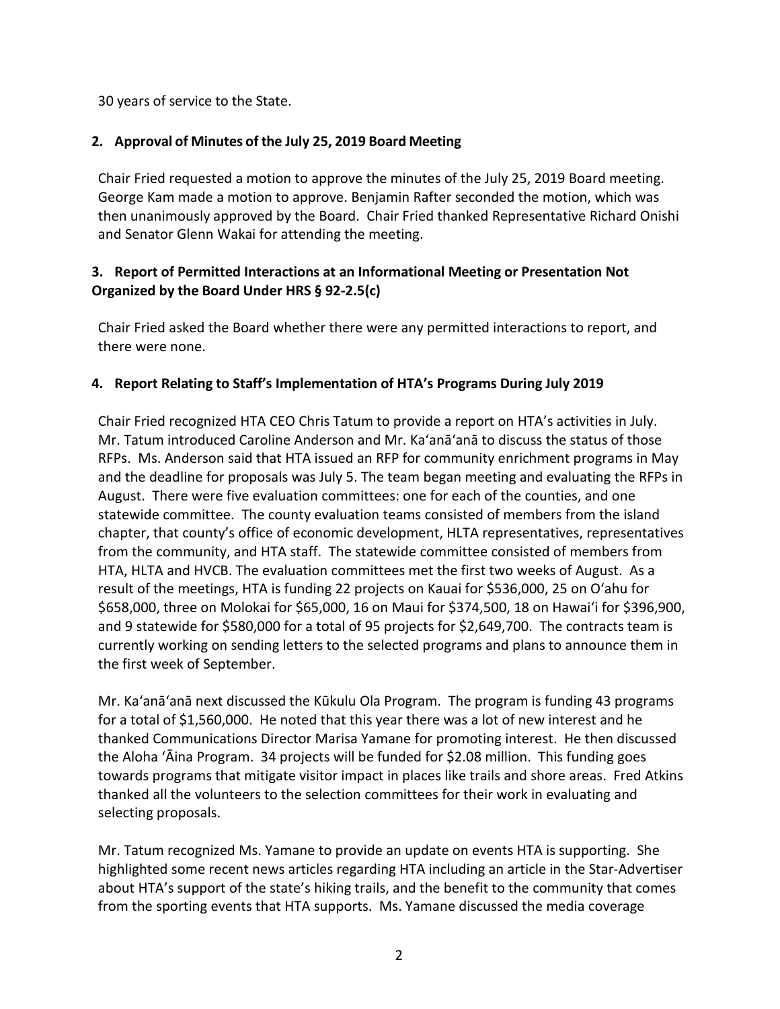30 years of service to the State.

# **2. Approval of Minutes of the July 25, 2019 Board Meeting**

Chair Fried requested a motion to approve the minutes of the July 25, 2019 Board meeting. George Kam made a motion to approve. Benjamin Rafter seconded the motion, which was then unanimously approved by the Board. Chair Fried thanked Representative Richard Onishi and Senator Glenn Wakai for attending the meeting.

# **3. Report of Permitted Interactions at an Informational Meeting or Presentation Not Organized by the Board Under HRS § 92-2.5(c)**

Chair Fried asked the Board whether there were any permitted interactions to report, and there were none.

# **4. Report Relating to Staff's Implementation of HTA's Programs During July 2019**

Chair Fried recognized HTA CEO Chris Tatum to provide a report on HTA's activities in July. Mr. Tatum introduced Caroline Anderson and Mr. Ka'anā'anā to discuss the status of those RFPs. Ms. Anderson said that HTA issued an RFP for community enrichment programs in May and the deadline for proposals was July 5. The team began meeting and evaluating the RFPs in August. There were five evaluation committees: one for each of the counties, and one statewide committee. The county evaluation teams consisted of members from the island chapter, that county's office of economic development, HLTA representatives, representatives from the community, and HTA staff. The statewide committee consisted of members from HTA, HLTA and HVCB. The evaluation committees met the first two weeks of August. As a result of the meetings, HTA is funding 22 projects on Kauai for \$536,000, 25 on Oʻahu for \$658,000, three on Molokai for \$65,000, 16 on Maui for \$374,500, 18 on Hawai'i for \$396,900, and 9 statewide for \$580,000 for a total of 95 projects for \$2,649,700. The contracts team is currently working on sending letters to the selected programs and plans to announce them in the first week of September.

Mr. Ka'anā'anā next discussed the Kūkulu Ola Program. The program is funding 43 programs for a total of \$1,560,000. He noted that this year there was a lot of new interest and he thanked Communications Director Marisa Yamane for promoting interest. He then discussed the Aloha ʻĀina Program. 34 projects will be funded for \$2.08 million. This funding goes towards programs that mitigate visitor impact in places like trails and shore areas. Fred Atkins thanked all the volunteers to the selection committees for their work in evaluating and selecting proposals.

Mr. Tatum recognized Ms. Yamane to provide an update on events HTA is supporting. She highlighted some recent news articles regarding HTA including an article in the Star-Advertiser about HTA's support of the state's hiking trails, and the benefit to the community that comes from the sporting events that HTA supports. Ms. Yamane discussed the media coverage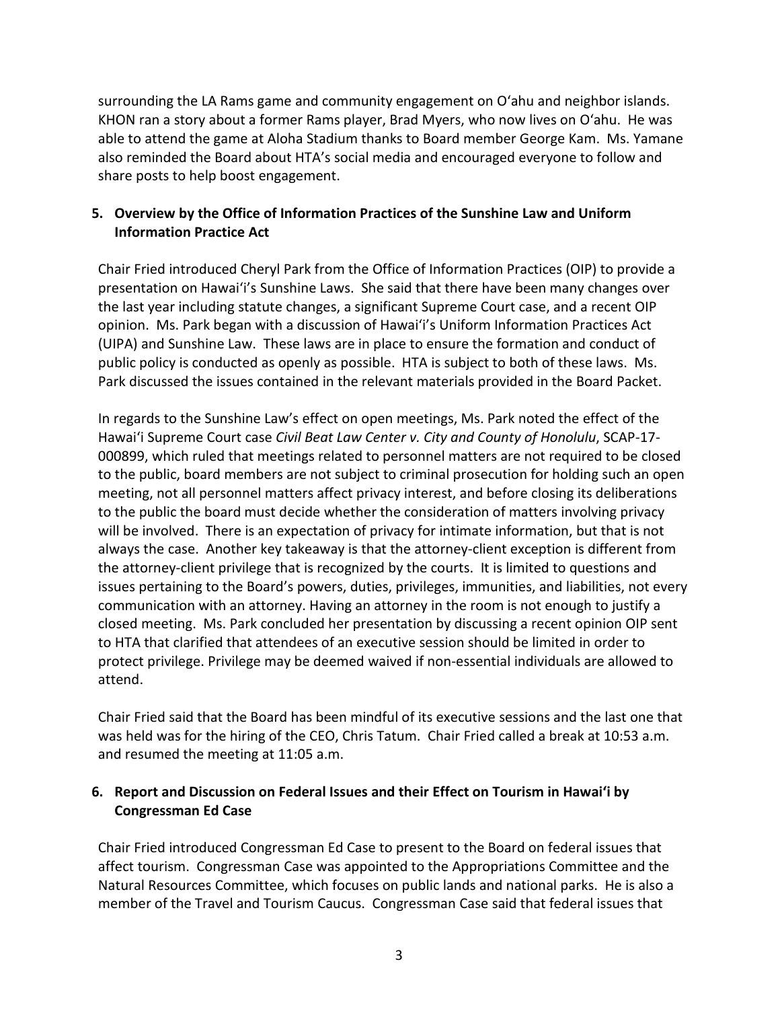surrounding the LA Rams game and community engagement on Oʻahu and neighbor islands. KHON ran a story about a former Rams player, Brad Myers, who now lives on Oʻahu. He was able to attend the game at Aloha Stadium thanks to Board member George Kam. Ms. Yamane also reminded the Board about HTA's social media and encouraged everyone to follow and share posts to help boost engagement.

# **5. Overview by the Office of Information Practices of the Sunshine Law and Uniform Information Practice Act**

Chair Fried introduced Cheryl Park from the Office of Information Practices (OIP) to provide a presentation on Hawai'i's Sunshine Laws. She said that there have been many changes over the last year including statute changes, a significant Supreme Court case, and a recent OIP opinion. Ms. Park began with a discussion of Hawai'i's Uniform Information Practices Act (UIPA) and Sunshine Law. These laws are in place to ensure the formation and conduct of public policy is conducted as openly as possible. HTA is subject to both of these laws. Ms. Park discussed the issues contained in the relevant materials provided in the Board Packet.

In regards to the Sunshine Law's effect on open meetings, Ms. Park noted the effect of the Hawai'i Supreme Court case *Civil Beat Law Center v. City and County of Honolulu*, SCAP-17- 000899, which ruled that meetings related to personnel matters are not required to be closed to the public, board members are not subject to criminal prosecution for holding such an open meeting, not all personnel matters affect privacy interest, and before closing its deliberations to the public the board must decide whether the consideration of matters involving privacy will be involved. There is an expectation of privacy for intimate information, but that is not always the case. Another key takeaway is that the attorney-client exception is different from the attorney-client privilege that is recognized by the courts. It is limited to questions and issues pertaining to the Board's powers, duties, privileges, immunities, and liabilities, not every communication with an attorney. Having an attorney in the room is not enough to justify a closed meeting. Ms. Park concluded her presentation by discussing a recent opinion OIP sent to HTA that clarified that attendees of an executive session should be limited in order to protect privilege. Privilege may be deemed waived if non-essential individuals are allowed to attend.

Chair Fried said that the Board has been mindful of its executive sessions and the last one that was held was for the hiring of the CEO, Chris Tatum. Chair Fried called a break at 10:53 a.m. and resumed the meeting at 11:05 a.m.

#### **6. Report and Discussion on Federal Issues and their Effect on Tourism in Hawai'i by Congressman Ed Case**

Chair Fried introduced Congressman Ed Case to present to the Board on federal issues that affect tourism. Congressman Case was appointed to the Appropriations Committee and the Natural Resources Committee, which focuses on public lands and national parks. He is also a member of the Travel and Tourism Caucus. Congressman Case said that federal issues that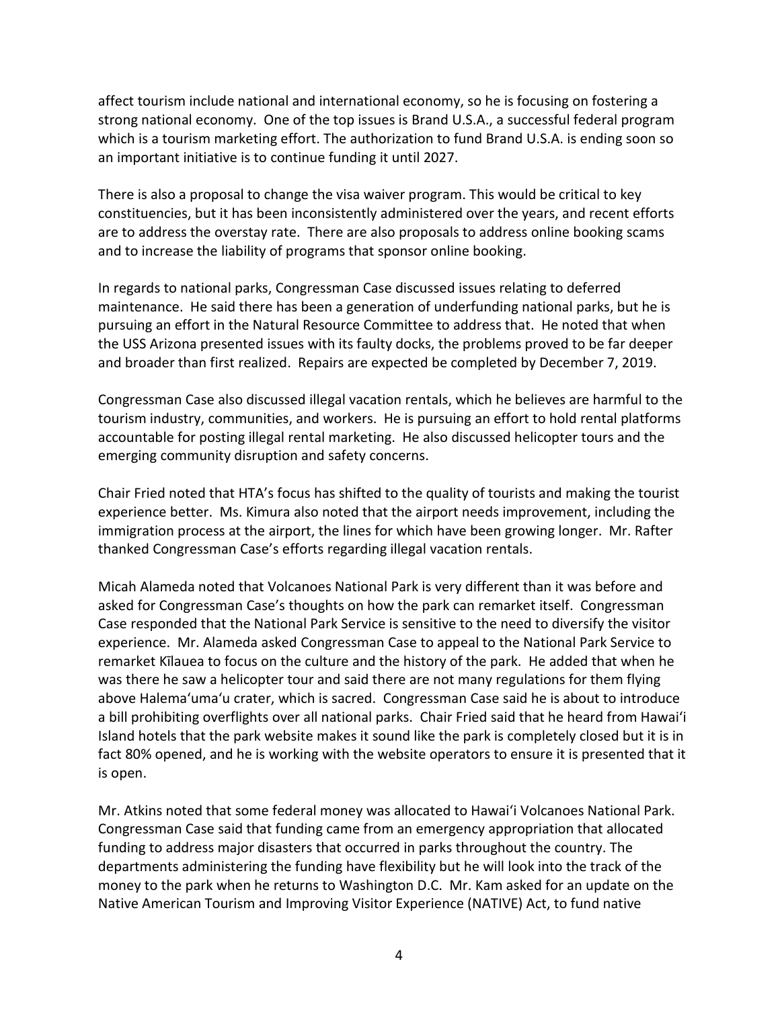affect tourism include national and international economy, so he is focusing on fostering a strong national economy. One of the top issues is Brand U.S.A., a successful federal program which is a tourism marketing effort. The authorization to fund Brand U.S.A. is ending soon so an important initiative is to continue funding it until 2027.

There is also a proposal to change the visa waiver program. This would be critical to key constituencies, but it has been inconsistently administered over the years, and recent efforts are to address the overstay rate. There are also proposals to address online booking scams and to increase the liability of programs that sponsor online booking.

In regards to national parks, Congressman Case discussed issues relating to deferred maintenance. He said there has been a generation of underfunding national parks, but he is pursuing an effort in the Natural Resource Committee to address that. He noted that when the USS Arizona presented issues with its faulty docks, the problems proved to be far deeper and broader than first realized. Repairs are expected be completed by December 7, 2019.

Congressman Case also discussed illegal vacation rentals, which he believes are harmful to the tourism industry, communities, and workers. He is pursuing an effort to hold rental platforms accountable for posting illegal rental marketing. He also discussed helicopter tours and the emerging community disruption and safety concerns.

Chair Fried noted that HTA's focus has shifted to the quality of tourists and making the tourist experience better. Ms. Kimura also noted that the airport needs improvement, including the immigration process at the airport, the lines for which have been growing longer. Mr. Rafter thanked Congressman Case's efforts regarding illegal vacation rentals.

Micah Alameda noted that Volcanoes National Park is very different than it was before and asked for Congressman Case's thoughts on how the park can remarket itself. Congressman Case responded that the National Park Service is sensitive to the need to diversify the visitor experience. Mr. Alameda asked Congressman Case to appeal to the National Park Service to remarket Kīlauea to focus on the culture and the history of the park. He added that when he was there he saw a helicopter tour and said there are not many regulations for them flying above Halemaʻumaʻu crater, which is sacred. Congressman Case said he is about to introduce a bill prohibiting overflights over all national parks. Chair Fried said that he heard from Hawai'i Island hotels that the park website makes it sound like the park is completely closed but it is in fact 80% opened, and he is working with the website operators to ensure it is presented that it is open.

Mr. Atkins noted that some federal money was allocated to Hawai'i Volcanoes National Park. Congressman Case said that funding came from an emergency appropriation that allocated funding to address major disasters that occurred in parks throughout the country. The departments administering the funding have flexibility but he will look into the track of the money to the park when he returns to Washington D.C. Mr. Kam asked for an update on the Native American Tourism and Improving Visitor Experience (NATIVE) Act, to fund native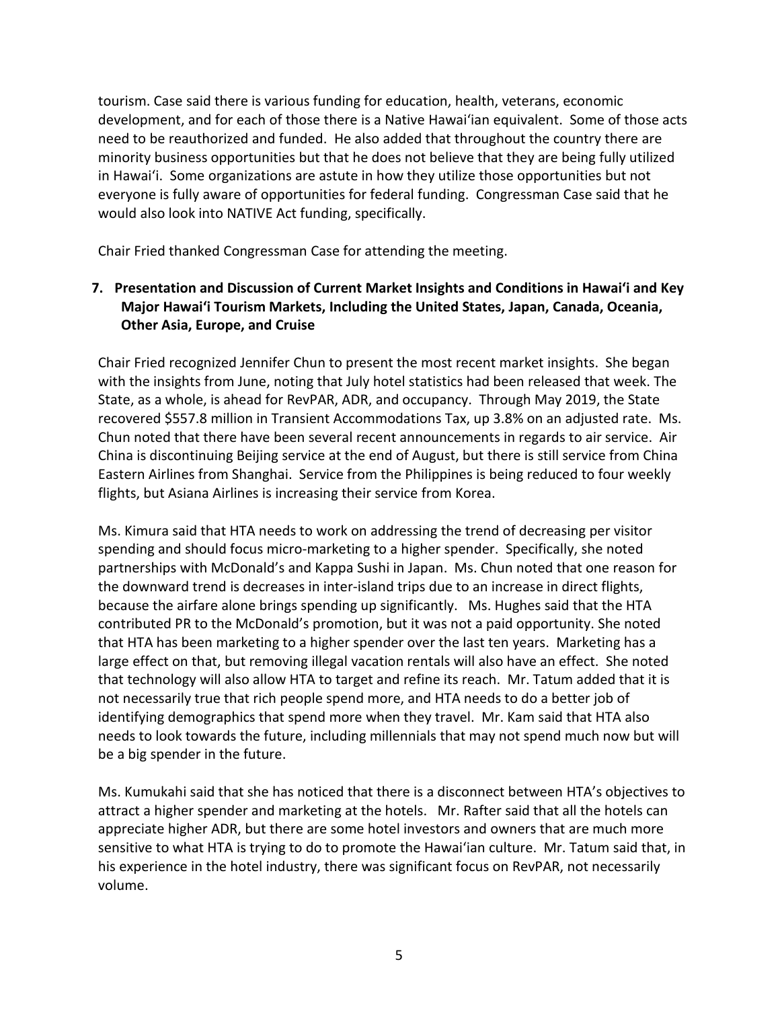tourism. Case said there is various funding for education, health, veterans, economic development, and for each of those there is a Native Hawai'ian equivalent. Some of those acts need to be reauthorized and funded. He also added that throughout the country there are minority business opportunities but that he does not believe that they are being fully utilized in Hawai'i. Some organizations are astute in how they utilize those opportunities but not everyone is fully aware of opportunities for federal funding. Congressman Case said that he would also look into NATIVE Act funding, specifically.

Chair Fried thanked Congressman Case for attending the meeting.

# **7. Presentation and Discussion of Current Market Insights and Conditions in Hawai'i and Key Major Hawai'i Tourism Markets, Including the United States, Japan, Canada, Oceania, Other Asia, Europe, and Cruise**

Chair Fried recognized Jennifer Chun to present the most recent market insights. She began with the insights from June, noting that July hotel statistics had been released that week. The State, as a whole, is ahead for RevPAR, ADR, and occupancy. Through May 2019, the State recovered \$557.8 million in Transient Accommodations Tax, up 3.8% on an adjusted rate. Ms. Chun noted that there have been several recent announcements in regards to air service. Air China is discontinuing Beijing service at the end of August, but there is still service from China Eastern Airlines from Shanghai. Service from the Philippines is being reduced to four weekly flights, but Asiana Airlines is increasing their service from Korea.

Ms. Kimura said that HTA needs to work on addressing the trend of decreasing per visitor spending and should focus micro-marketing to a higher spender. Specifically, she noted partnerships with McDonald's and Kappa Sushi in Japan. Ms. Chun noted that one reason for the downward trend is decreases in inter-island trips due to an increase in direct flights, because the airfare alone brings spending up significantly. Ms. Hughes said that the HTA contributed PR to the McDonald's promotion, but it was not a paid opportunity. She noted that HTA has been marketing to a higher spender over the last ten years. Marketing has a large effect on that, but removing illegal vacation rentals will also have an effect. She noted that technology will also allow HTA to target and refine its reach. Mr. Tatum added that it is not necessarily true that rich people spend more, and HTA needs to do a better job of identifying demographics that spend more when they travel. Mr. Kam said that HTA also needs to look towards the future, including millennials that may not spend much now but will be a big spender in the future.

Ms. Kumukahi said that she has noticed that there is a disconnect between HTA's objectives to attract a higher spender and marketing at the hotels. Mr. Rafter said that all the hotels can appreciate higher ADR, but there are some hotel investors and owners that are much more sensitive to what HTA is trying to do to promote the Hawai'ian culture. Mr. Tatum said that, in his experience in the hotel industry, there was significant focus on RevPAR, not necessarily volume.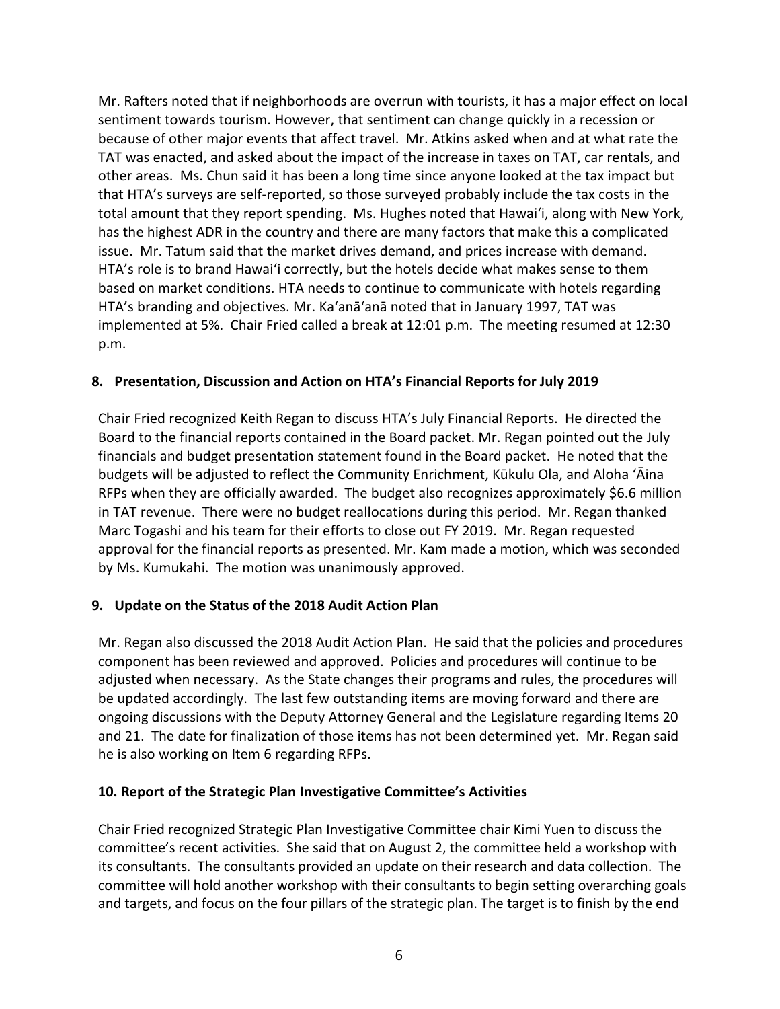Mr. Rafters noted that if neighborhoods are overrun with tourists, it has a major effect on local sentiment towards tourism. However, that sentiment can change quickly in a recession or because of other major events that affect travel. Mr. Atkins asked when and at what rate the TAT was enacted, and asked about the impact of the increase in taxes on TAT, car rentals, and other areas. Ms. Chun said it has been a long time since anyone looked at the tax impact but that HTA's surveys are self-reported, so those surveyed probably include the tax costs in the total amount that they report spending. Ms. Hughes noted that Hawai'i, along with New York, has the highest ADR in the country and there are many factors that make this a complicated issue. Mr. Tatum said that the market drives demand, and prices increase with demand. HTA's role is to brand Hawai'i correctly, but the hotels decide what makes sense to them based on market conditions. HTA needs to continue to communicate with hotels regarding HTA's branding and objectives. Mr. Ka'anā'anā noted that in January 1997, TAT was implemented at 5%. Chair Fried called a break at 12:01 p.m. The meeting resumed at 12:30 p.m.

# **8. Presentation, Discussion and Action on HTA's Financial Reports for July 2019**

Chair Fried recognized Keith Regan to discuss HTA's July Financial Reports. He directed the Board to the financial reports contained in the Board packet. Mr. Regan pointed out the July financials and budget presentation statement found in the Board packet. He noted that the budgets will be adjusted to reflect the Community Enrichment, Kūkulu Ola, and Aloha ʻĀina RFPs when they are officially awarded. The budget also recognizes approximately \$6.6 million in TAT revenue. There were no budget reallocations during this period. Mr. Regan thanked Marc Togashi and his team for their efforts to close out FY 2019. Mr. Regan requested approval for the financial reports as presented. Mr. Kam made a motion, which was seconded by Ms. Kumukahi. The motion was unanimously approved.

#### **9. Update on the Status of the 2018 Audit Action Plan**

Mr. Regan also discussed the 2018 Audit Action Plan. He said that the policies and procedures component has been reviewed and approved. Policies and procedures will continue to be adjusted when necessary. As the State changes their programs and rules, the procedures will be updated accordingly. The last few outstanding items are moving forward and there are ongoing discussions with the Deputy Attorney General and the Legislature regarding Items 20 and 21. The date for finalization of those items has not been determined yet. Mr. Regan said he is also working on Item 6 regarding RFPs.

#### **10. Report of the Strategic Plan Investigative Committee's Activities**

Chair Fried recognized Strategic Plan Investigative Committee chair Kimi Yuen to discuss the committee's recent activities. She said that on August 2, the committee held a workshop with its consultants. The consultants provided an update on their research and data collection. The committee will hold another workshop with their consultants to begin setting overarching goals and targets, and focus on the four pillars of the strategic plan. The target is to finish by the end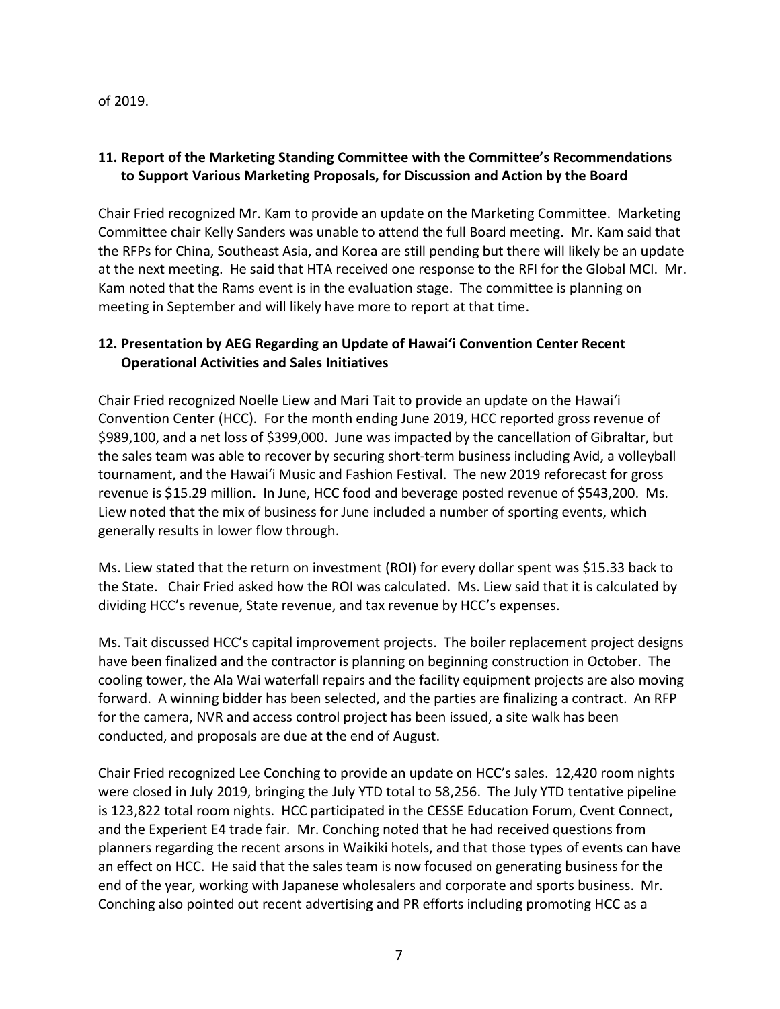of 2019.

# **11. Report of the Marketing Standing Committee with the Committee's Recommendations to Support Various Marketing Proposals, for Discussion and Action by the Board**

Chair Fried recognized Mr. Kam to provide an update on the Marketing Committee. Marketing Committee chair Kelly Sanders was unable to attend the full Board meeting. Mr. Kam said that the RFPs for China, Southeast Asia, and Korea are still pending but there will likely be an update at the next meeting. He said that HTA received one response to the RFI for the Global MCI. Mr. Kam noted that the Rams event is in the evaluation stage. The committee is planning on meeting in September and will likely have more to report at that time.

# **12. Presentation by AEG Regarding an Update of Hawai'i Convention Center Recent Operational Activities and Sales Initiatives**

Chair Fried recognized Noelle Liew and Mari Tait to provide an update on the Hawai'i Convention Center (HCC). For the month ending June 2019, HCC reported gross revenue of \$989,100, and a net loss of \$399,000. June was impacted by the cancellation of Gibraltar, but the sales team was able to recover by securing short-term business including Avid, a volleyball tournament, and the Hawai'i Music and Fashion Festival. The new 2019 reforecast for gross revenue is \$15.29 million. In June, HCC food and beverage posted revenue of \$543,200. Ms. Liew noted that the mix of business for June included a number of sporting events, which generally results in lower flow through.

Ms. Liew stated that the return on investment (ROI) for every dollar spent was \$15.33 back to the State. Chair Fried asked how the ROI was calculated. Ms. Liew said that it is calculated by dividing HCC's revenue, State revenue, and tax revenue by HCC's expenses.

Ms. Tait discussed HCC's capital improvement projects. The boiler replacement project designs have been finalized and the contractor is planning on beginning construction in October. The cooling tower, the Ala Wai waterfall repairs and the facility equipment projects are also moving forward. A winning bidder has been selected, and the parties are finalizing a contract. An RFP for the camera, NVR and access control project has been issued, a site walk has been conducted, and proposals are due at the end of August.

Chair Fried recognized Lee Conching to provide an update on HCC's sales. 12,420 room nights were closed in July 2019, bringing the July YTD total to 58,256. The July YTD tentative pipeline is 123,822 total room nights. HCC participated in the CESSE Education Forum, Cvent Connect, and the Experient E4 trade fair. Mr. Conching noted that he had received questions from planners regarding the recent arsons in Waikiki hotels, and that those types of events can have an effect on HCC. He said that the sales team is now focused on generating business for the end of the year, working with Japanese wholesalers and corporate and sports business. Mr. Conching also pointed out recent advertising and PR efforts including promoting HCC as a